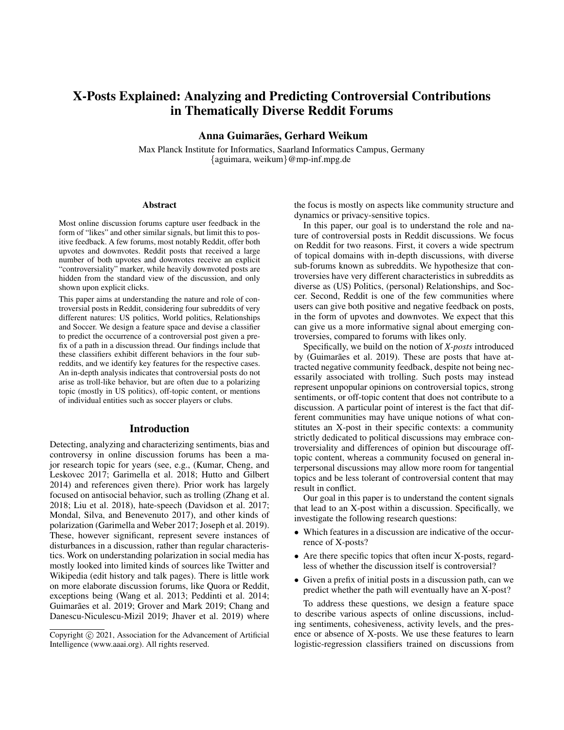# X-Posts Explained: Analyzing and Predicting Controversial Contributions in Thematically Diverse Reddit Forums

Anna Guimarães, Gerhard Weikum

Max Planck Institute for Informatics, Saarland Informatics Campus, Germany {aguimara, weikum}@mp-inf.mpg.de

#### **Abstract**

Most online discussion forums capture user feedback in the form of "likes" and other similar signals, but limit this to positive feedback. A few forums, most notably Reddit, offer both upvotes and downvotes. Reddit posts that received a large number of both upvotes and downvotes receive an explicit "controversiality" marker, while heavily downvoted posts are hidden from the standard view of the discussion, and only shown upon explicit clicks.

This paper aims at understanding the nature and role of controversial posts in Reddit, considering four subreddits of very different natures: US politics, World politics, Relationships and Soccer. We design a feature space and devise a classifier to predict the occurrence of a controversial post given a prefix of a path in a discussion thread. Our findings include that these classifiers exhibit different behaviors in the four subreddits, and we identify key features for the respective cases. An in-depth analysis indicates that controversial posts do not arise as troll-like behavior, but are often due to a polarizing topic (mostly in US politics), off-topic content, or mentions of individual entities such as soccer players or clubs.

## Introduction

Detecting, analyzing and characterizing sentiments, bias and controversy in online discussion forums has been a major research topic for years (see, e.g., (Kumar, Cheng, and Leskovec 2017; Garimella et al. 2018; Hutto and Gilbert 2014) and references given there). Prior work has largely focused on antisocial behavior, such as trolling (Zhang et al. 2018; Liu et al. 2018), hate-speech (Davidson et al. 2017; Mondal, Silva, and Benevenuto 2017), and other kinds of polarization (Garimella and Weber 2017; Joseph et al. 2019). These, however significant, represent severe instances of disturbances in a discussion, rather than regular characteristics. Work on understanding polarization in social media has mostly looked into limited kinds of sources like Twitter and Wikipedia (edit history and talk pages). There is little work on more elaborate discussion forums, like Quora or Reddit, exceptions being (Wang et al. 2013; Peddinti et al. 2014; Guimarães et al. 2019; Grover and Mark 2019; Chang and Danescu-Niculescu-Mizil 2019; Jhaver et al. 2019) where the focus is mostly on aspects like community structure and dynamics or privacy-sensitive topics.

In this paper, our goal is to understand the role and nature of controversial posts in Reddit discussions. We focus on Reddit for two reasons. First, it covers a wide spectrum of topical domains with in-depth discussions, with diverse sub-forums known as subreddits. We hypothesize that controversies have very different characteristics in subreddits as diverse as (US) Politics, (personal) Relationships, and Soccer. Second, Reddit is one of the few communities where users can give both positive and negative feedback on posts, in the form of upvotes and downvotes. We expect that this can give us a more informative signal about emerging controversies, compared to forums with likes only.

Specifically, we build on the notion of *X-posts* introduced by (Guimarães et al. 2019). These are posts that have attracted negative community feedback, despite not being necessarily associated with trolling. Such posts may instead represent unpopular opinions on controversial topics, strong sentiments, or off-topic content that does not contribute to a discussion. A particular point of interest is the fact that different communities may have unique notions of what constitutes an X-post in their specific contexts: a community strictly dedicated to political discussions may embrace controversiality and differences of opinion but discourage offtopic content, whereas a community focused on general interpersonal discussions may allow more room for tangential topics and be less tolerant of controversial content that may result in conflict.

Our goal in this paper is to understand the content signals that lead to an X-post within a discussion. Specifically, we investigate the following research questions:

- Which features in a discussion are indicative of the occurrence of X-posts?
- Are there specific topics that often incur X-posts, regardless of whether the discussion itself is controversial?
- Given a prefix of initial posts in a discussion path, can we predict whether the path will eventually have an X-post?

To address these questions, we design a feature space to describe various aspects of online discussions, including sentiments, cohesiveness, activity levels, and the presence or absence of X-posts. We use these features to learn logistic-regression classifiers trained on discussions from

Copyright © 2021, Association for the Advancement of Artificial Intelligence (www.aaai.org). All rights reserved.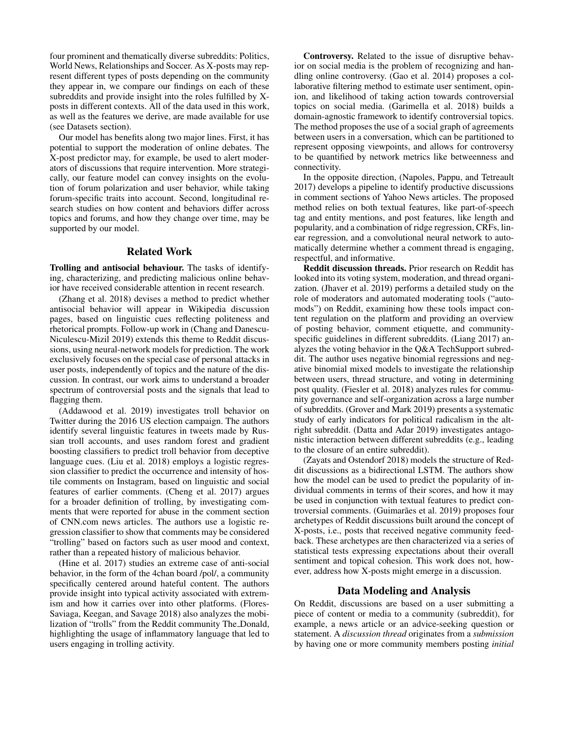four prominent and thematically diverse subreddits: Politics, World News, Relationships and Soccer. As X-posts may represent different types of posts depending on the community they appear in, we compare our findings on each of these subreddits and provide insight into the roles fulfilled by Xposts in different contexts. All of the data used in this work, as well as the features we derive, are made available for use (see Datasets section).

Our model has benefits along two major lines. First, it has potential to support the moderation of online debates. The X-post predictor may, for example, be used to alert moderators of discussions that require intervention. More strategically, our feature model can convey insights on the evolution of forum polarization and user behavior, while taking forum-specific traits into account. Second, longitudinal research studies on how content and behaviors differ across topics and forums, and how they change over time, may be supported by our model.

### Related Work

Trolling and antisocial behaviour. The tasks of identifying, characterizing, and predicting malicious online behavior have received considerable attention in recent research.

(Zhang et al. 2018) devises a method to predict whether antisocial behavior will appear in Wikipedia discussion pages, based on linguistic cues reflecting politeness and rhetorical prompts. Follow-up work in (Chang and Danescu-Niculescu-Mizil 2019) extends this theme to Reddit discussions, using neural-network models for prediction. The work exclusively focuses on the special case of personal attacks in user posts, independently of topics and the nature of the discussion. In contrast, our work aims to understand a broader spectrum of controversial posts and the signals that lead to flagging them.

(Addawood et al. 2019) investigates troll behavior on Twitter during the 2016 US election campaign. The authors identify several linguistic features in tweets made by Russian troll accounts, and uses random forest and gradient boosting classifiers to predict troll behavior from deceptive language cues. (Liu et al. 2018) employs a logistic regression classifier to predict the occurrence and intensity of hostile comments on Instagram, based on linguistic and social features of earlier comments. (Cheng et al. 2017) argues for a broader definition of trolling, by investigating comments that were reported for abuse in the comment section of CNN.com news articles. The authors use a logistic regression classifier to show that comments may be considered "trolling" based on factors such as user mood and context, rather than a repeated history of malicious behavior.

(Hine et al. 2017) studies an extreme case of anti-social behavior, in the form of the 4chan board /pol/, a community specifically centered around hateful content. The authors provide insight into typical activity associated with extremism and how it carries over into other platforms. (Flores-Saviaga, Keegan, and Savage 2018) also analyzes the mobilization of "trolls" from the Reddit community The Donald, highlighting the usage of inflammatory language that led to users engaging in trolling activity.

Controversy. Related to the issue of disruptive behavior on social media is the problem of recognizing and handling online controversy. (Gao et al. 2014) proposes a collaborative filtering method to estimate user sentiment, opinion, and likelihood of taking action towards controversial topics on social media. (Garimella et al. 2018) builds a domain-agnostic framework to identify controversial topics. The method proposes the use of a social graph of agreements between users in a conversation, which can be partitioned to represent opposing viewpoints, and allows for controversy to be quantified by network metrics like betweenness and connectivity.

In the opposite direction, (Napoles, Pappu, and Tetreault 2017) develops a pipeline to identify productive discussions in comment sections of Yahoo News articles. The proposed method relies on both textual features, like part-of-speech tag and entity mentions, and post features, like length and popularity, and a combination of ridge regression, CRFs, linear regression, and a convolutional neural network to automatically determine whether a comment thread is engaging, respectful, and informative.

Reddit discussion threads. Prior research on Reddit has looked into its voting system, moderation, and thread organization. (Jhaver et al. 2019) performs a detailed study on the role of moderators and automated moderating tools ("automods") on Reddit, examining how these tools impact content regulation on the platform and providing an overview of posting behavior, comment etiquette, and communityspecific guidelines in different subreddits. (Liang 2017) analyzes the voting behavior in the Q&A TechSupport subreddit. The author uses negative binomial regressions and negative binomial mixed models to investigate the relationship between users, thread structure, and voting in determining post quality. (Fiesler et al. 2018) analyzes rules for community governance and self-organization across a large number of subreddits. (Grover and Mark 2019) presents a systematic study of early indicators for political radicalism in the altright subreddit. (Datta and Adar 2019) investigates antagonistic interaction between different subreddits (e.g., leading to the closure of an entire subreddit).

(Zayats and Ostendorf 2018) models the structure of Reddit discussions as a bidirectional LSTM. The authors show how the model can be used to predict the popularity of individual comments in terms of their scores, and how it may be used in conjunction with textual features to predict controversial comments. (Guimarães et al. 2019) proposes four archetypes of Reddit discussions built around the concept of X-posts, i.e., posts that received negative community feedback. These archetypes are then characterized via a series of statistical tests expressing expectations about their overall sentiment and topical cohesion. This work does not, however, address how X-posts might emerge in a discussion.

## Data Modeling and Analysis

On Reddit, discussions are based on a user submitting a piece of content or media to a community (subreddit), for example, a news article or an advice-seeking question or statement. A *discussion thread* originates from a *submission* by having one or more community members posting *initial*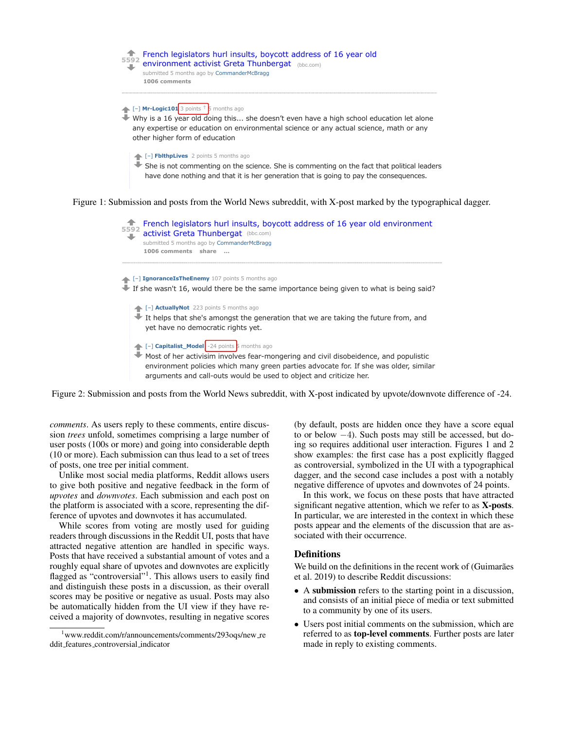

┹ Most of her activisim involves fear-mongering and civil disobeidence, and populistic environment policies which many green parties advocate for. If she was older, similar arguments and call-outs would be used to object and criticize her.

Figure 2: Submission and posts from the World News subreddit, with X-post indicated by upvote/downvote difference of -24.

*comments*. As users reply to these comments, entire discussion *trees* unfold, sometimes comprising a large number of user posts (100s or more) and going into considerable depth (10 or more). Each submission can thus lead to a set of trees of posts, one tree per initial comment.

Unlike most social media platforms, Reddit allows users to give both positive and negative feedback in the form of *upvotes* and *downvotes*. Each submission and each post on the platform is associated with a score, representing the difference of upvotes and downvotes it has accumulated.

While scores from voting are mostly used for guiding readers through discussions in the Reddit UI, posts that have attracted negative attention are handled in specific ways. Posts that have received a substantial amount of votes and a roughly equal share of upvotes and downvotes are explicitly flagged as "controversial"<sup>1</sup>. This allows users to easily find and distinguish these posts in a discussion, as their overall scores may be positive or negative as usual. Posts may also be automatically hidden from the UI view if they have received a majority of downvotes, resulting in negative scores

(by default, posts are hidden once they have a score equal to or below −4). Such posts may still be accessed, but doing so requires additional user interaction. Figures 1 and 2 show examples: the first case has a post explicitly flagged as controversial, symbolized in the UI with a typographical dagger, and the second case includes a post with a notably negative difference of upvotes and downvotes of 24 points.

In this work, we focus on these posts that have attracted significant negative attention, which we refer to as **X-posts**. In particular, we are interested in the context in which these posts appear and the elements of the discussion that are associated with their occurrence.

#### **Definitions**

We build on the definitions in the recent work of (Guimarães et al. 2019) to describe Reddit discussions:

- A submission refers to the starting point in a discussion, and consists of an initial piece of media or text submitted to a community by one of its users.
- Users post initial comments on the submission, which are referred to as top-level comments. Further posts are later made in reply to existing comments.

<sup>&</sup>lt;sup>1</sup>www.reddit.com/r/announcements/comments/293oqs/new\_re ddit features controversial indicator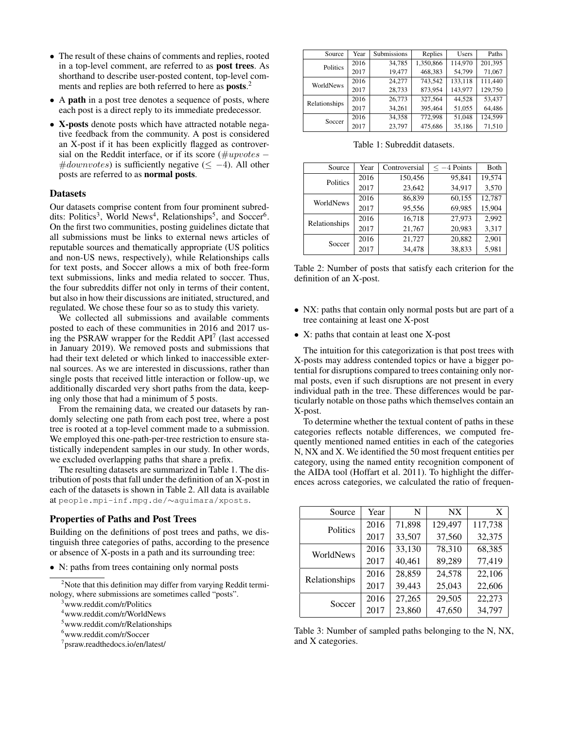- The result of these chains of comments and replies, rooted in a top-level comment, are referred to as post trees. As shorthand to describe user-posted content, top-level comments and replies are both referred to here as posts.<sup>2</sup>
- A path in a post tree denotes a sequence of posts, where each post is a direct reply to its immediate predecessor.
- X-posts denote posts which have attracted notable negative feedback from the community. A post is considered an X-post if it has been explicitly flagged as controversial on the Reddit interface, or if its score ( $\#up votes$  –  $\#down votes)$  is sufficiently negative ( $\leq -4$ ). All other posts are referred to as normal posts.

## Datasets

Our datasets comprise content from four prominent subreddits: Politics<sup>3</sup>, World News<sup>4</sup>, Relationships<sup>5</sup>, and Soccer<sup>6</sup>. On the first two communities, posting guidelines dictate that all submissions must be links to external news articles of reputable sources and thematically appropriate (US politics and non-US news, respectively), while Relationships calls for text posts, and Soccer allows a mix of both free-form text submissions, links and media related to soccer. Thus, the four subreddits differ not only in terms of their content, but also in how their discussions are initiated, structured, and regulated. We chose these four so as to study this variety.

We collected all submissions and available comments posted to each of these communities in 2016 and 2017 using the PSRAW wrapper for the Reddit  $API<sup>7</sup>$  (last accessed in January 2019). We removed posts and submissions that had their text deleted or which linked to inaccessible external sources. As we are interested in discussions, rather than single posts that received little interaction or follow-up, we additionally discarded very short paths from the data, keeping only those that had a minimum of 5 posts.

From the remaining data, we created our datasets by randomly selecting one path from each post tree, where a post tree is rooted at a top-level comment made to a submission. We employed this one-path-per-tree restriction to ensure statistically independent samples in our study. In other words, we excluded overlapping paths that share a prefix.

The resulting datasets are summarized in Table 1. The distribution of posts that fall under the definition of an X-post in each of the datasets is shown in Table 2. All data is available at people.mpi-inf.mpg.de/∼aguimara/xposts.

### Properties of Paths and Post Trees

Building on the definitions of post trees and paths, we distinguish three categories of paths, according to the presence or absence of X-posts in a path and its surrounding tree:

• N: paths from trees containing only normal posts

<sup>2</sup>Note that this definition may differ from varying Reddit terminology, where submissions are sometimes called "posts".

<sup>3</sup>www.reddit.com/r/Politics

<sup>4</sup>www.reddit.com/r/WorldNews

- <sup>5</sup>www.reddit.com/r/Relationships
- <sup>6</sup>www.reddit.com/r/Soccer

7 psraw.readthedocs.io/en/latest/

| Source        | Year | <b>Submissions</b> | Replies   | <b>Users</b> | Paths   |
|---------------|------|--------------------|-----------|--------------|---------|
| Politics      | 2016 | 34,785             | 1,350,866 | 114,970      | 201,395 |
|               | 2017 | 19,477             | 468,383   | 54,799       | 71,067  |
| WorldNews     | 2016 | 24.277             | 743.542   | 133.118      | 111.440 |
|               | 2017 | 28,733             | 873,954   | 143,977      | 129,750 |
| Relationships | 2016 | 26.773             | 327.564   | 44.528       | 53.437  |
|               | 2017 | 34,261             | 395,464   | 51,055       | 64,486  |
| Soccer        | 2016 | 34,358             | 772,998   | 51,048       | 124.599 |
|               | 2017 | 23.797             | 475.686   | 35,186       | 71,510  |

|  | Table 1: Subreddit datasets. |  |
|--|------------------------------|--|
|--|------------------------------|--|

| Source        | Year | Controversial | $\leq -4$ Points | Both   |
|---------------|------|---------------|------------------|--------|
| Politics      | 2016 | 150,456       | 95.841           | 19,574 |
|               | 2017 | 23,642        | 34,917           | 3,570  |
| WorldNews     | 2016 | 86,839        | 60,155           | 12,787 |
|               | 2017 | 95,556        | 69,985           | 15,904 |
| Relationships | 2016 | 16,718        | 27,973           | 2.992  |
|               | 2017 | 21,767        | 20,983           | 3,317  |
| Soccer        | 2016 | 21,727        | 20,882           | 2,901  |
|               | 2017 | 34,478        | 38,833           | 5,981  |

Table 2: Number of posts that satisfy each criterion for the definition of an X-post.

- NX: paths that contain only normal posts but are part of a tree containing at least one X-post
- X: paths that contain at least one X-post

The intuition for this categorization is that post trees with X-posts may address contended topics or have a bigger potential for disruptions compared to trees containing only normal posts, even if such disruptions are not present in every individual path in the tree. These differences would be particularly notable on those paths which themselves contain an X-post.

To determine whether the textual content of paths in these categories reflects notable differences, we computed frequently mentioned named entities in each of the categories N, NX and X. We identified the 50 most frequent entities per category, using the named entity recognition component of the AIDA tool (Hoffart et al. 2011). To highlight the differences across categories, we calculated the ratio of frequen-

| Source        | Year | N      | NX      | X       |
|---------------|------|--------|---------|---------|
| Politics      | 2016 | 71,898 | 129,497 | 117,738 |
|               | 2017 | 33,507 | 37,560  | 32,375  |
| WorldNews     | 2016 | 33,130 | 78,310  | 68,385  |
|               | 2017 | 40,461 | 89,289  | 77,419  |
| Relationships | 2016 | 28,859 | 24,578  | 22,106  |
|               | 2017 | 39,443 | 25,043  | 22,606  |
| Soccer        | 2016 | 27,265 | 29,505  | 22,273  |
|               | 2017 | 23,860 | 47,650  | 34,797  |

Table 3: Number of sampled paths belonging to the N, NX, and X categories.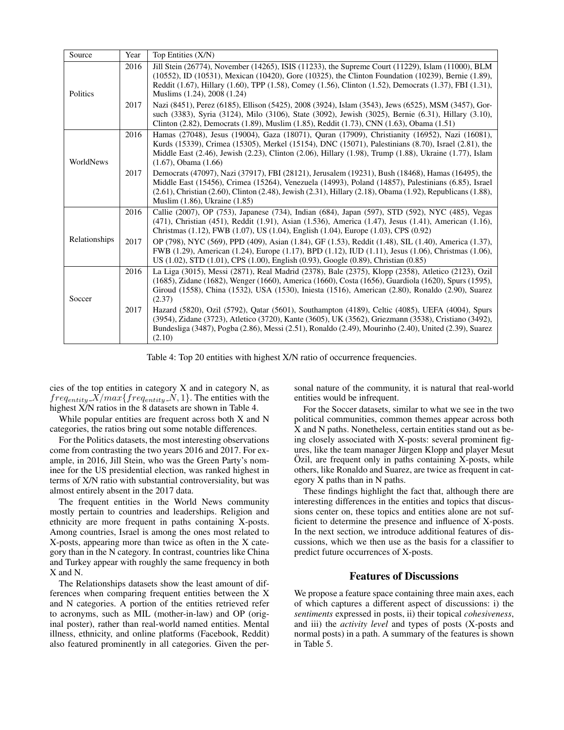| Source        | Year | Top Entities (X/N)                                                                                                                                                                                                                                                                                                                                                           |
|---------------|------|------------------------------------------------------------------------------------------------------------------------------------------------------------------------------------------------------------------------------------------------------------------------------------------------------------------------------------------------------------------------------|
| Politics      | 2016 | Jill Stein (26774), November (14265), ISIS (11233), the Supreme Court (11229), Islam (11000), BLM<br>$(10552)$ , ID $(10531)$ , Mexican $(10420)$ , Gore $(10325)$ , the Clinton Foundation $(10239)$ , Bernie $(1.89)$ ,<br>Reddit (1.67), Hillary (1.60), TPP (1.58), Comey (1.56), Clinton (1.52), Democrats (1.37), FBI (1.31),<br>Muslims (1.24), 2008 (1.24)           |
|               | 2017 | Nazi (8451), Perez (6185), Ellison (5425), 2008 (3924), Islam (3543), Jews (6525), MSM (3457), Gor-<br>such (3383), Syria (3124), Milo (3106), State (3092), Jewish (3025), Bernie (6.31), Hillary (3.10),<br>Clinton (2.82), Democrats (1.89), Muslim (1.85), Reddit (1.73), CNN (1.63), Obama (1.51)                                                                       |
| WorldNews     | 2016 | Hamas (27048), Jesus (19004), Gaza (18071), Quran (17909), Christianity (16952), Nazi (16081),<br>Kurds (15339), Crimea (15305), Merkel (15154), DNC (15071), Palestinians (8.70), Israel (2.81), the<br>Middle East (2.46), Jewish (2.23), Clinton (2.06), Hillary (1.98), Trump (1.88), Ukraine (1.77), Islam<br>$(1.67)$ , Obama $(1.66)$                                 |
|               | 2017 | Democrats (47097), Nazi (37917), FBI (28121), Jerusalem (19231), Bush (18468), Hamas (16495), the<br>Middle East (15456), Crimea (15264), Venezuela (14993), Poland (14857), Palestinians (6.85), Israel<br>$(2.61)$ , Christian $(2.60)$ , Clinton $(2.48)$ , Jewish $(2.31)$ , Hillary $(2.18)$ , Obama $(1.92)$ , Republicans $(1.88)$ ,<br>Muslim (1.86), Ukraine (1.85) |
|               | 2016 | Callie (2007), OP (753), Japanese (734), Indian (684), Japan (597), STD (592), NYC (485), Vegas<br>(471), Christian (451), Reddit (1.91), Asian (1.536), America (1.47), Jesus (1.41), American (1.16),<br>Christmas (1.12), FWB (1.07), US (1.04), English (1.04), Europe (1.03), CPS (0.92)                                                                                |
| Relationships | 2017 | OP (798), NYC (569), PPD (409), Asian (1.84), GF (1.53), Reddit (1.48), SIL (1.40), America (1.37),<br>FWB (1.29), American (1.24), Europe (1.17), BPD (1.12), IUD (1.11), Jesus (1.06), Christmas (1.06),<br>US (1.02), STD (1.01), CPS (1.00), English (0.93), Google (0.89), Christian (0.85)                                                                             |
| Soccer        | 2016 | La Liga (3015), Messi (2871), Real Madrid (2378), Bale (2375), Klopp (2358), Atletico (2123), Ozil<br>(1685), Zidane (1682), Wenger (1660), America (1660), Costa (1656), Guardiola (1620), Spurs (1595),<br>Giroud (1558), China (1532), USA (1530), Iniesta (1516), American (2.80), Ronaldo (2.90), Suarez<br>(2.37)                                                      |
|               | 2017 | Hazard (5820), Ozil (5792), Qatar (5601), Southampton (4189), Celtic (4085), UEFA (4004), Spurs<br>(3954), Zidane (3723), Atletico (3720), Kante (3605), UK (3562), Griezmann (3538), Cristiano (3492),<br>Bundesliga (3487), Pogba (2.86), Messi (2.51), Ronaldo (2.49), Mourinho (2.40), United (2.39), Suarez<br>(2.10)                                                   |

Table 4: Top 20 entities with highest X/N ratio of occurrence frequencies.

cies of the top entities in category X and in category N, as  $freq_{entity}$   $\overline{X}/max\{freq_{entity}$   $\overline{N}, 1\}$ . The entities with the highest X/N ratios in the 8 datasets are shown in Table 4.

While popular entities are frequent across both X and N categories, the ratios bring out some notable differences.

For the Politics datasets, the most interesting observations come from contrasting the two years 2016 and 2017. For example, in 2016, Jill Stein, who was the Green Party's nominee for the US presidential election, was ranked highest in terms of X/N ratio with substantial controversiality, but was almost entirely absent in the 2017 data.

The frequent entities in the World News community mostly pertain to countries and leaderships. Religion and ethnicity are more frequent in paths containing X-posts. Among countries, Israel is among the ones most related to X-posts, appearing more than twice as often in the X category than in the N category. In contrast, countries like China and Turkey appear with roughly the same frequency in both X and N.

The Relationships datasets show the least amount of differences when comparing frequent entities between the X and N categories. A portion of the entities retrieved refer to acronyms, such as MIL (mother-in-law) and OP (original poster), rather than real-world named entities. Mental illness, ethnicity, and online platforms (Facebook, Reddit) also featured prominently in all categories. Given the personal nature of the community, it is natural that real-world entities would be infrequent.

For the Soccer datasets, similar to what we see in the two political communities, common themes appear across both X and N paths. Nonetheless, certain entities stand out as being closely associated with X-posts: several prominent figures, like the team manager Jürgen Klopp and player Mesut  $\overline{O}$ zil, are frequent only in paths containing X-posts, while others, like Ronaldo and Suarez, are twice as frequent in category X paths than in N paths.

These findings highlight the fact that, although there are interesting differences in the entities and topics that discussions center on, these topics and entities alone are not sufficient to determine the presence and influence of X-posts. In the next section, we introduce additional features of discussions, which we then use as the basis for a classifier to predict future occurrences of X-posts.

# Features of Discussions

We propose a feature space containing three main axes, each of which captures a different aspect of discussions: i) the *sentiments* expressed in posts, ii) their topical *cohesiveness*, and iii) the *activity level* and types of posts (X-posts and normal posts) in a path. A summary of the features is shown in Table 5.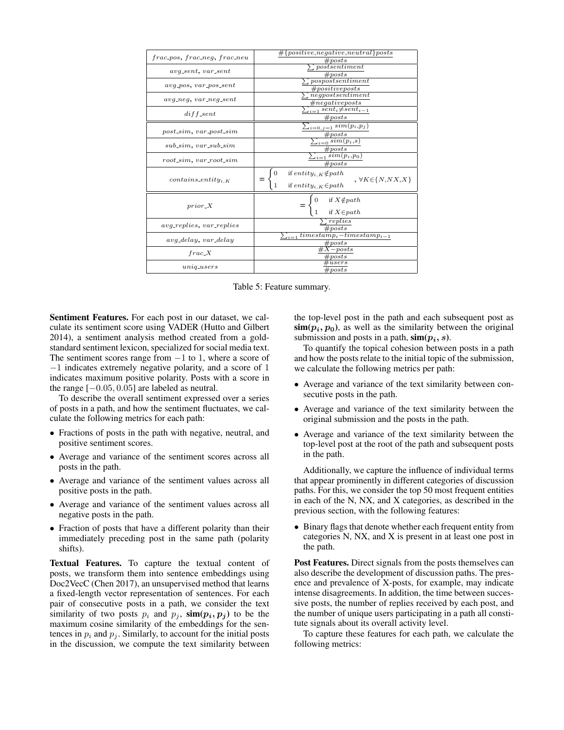| frac_pos, frac_neg, frac_neu                      | #[positive, negative, neutral] posts                                                                                                                           |  |  |
|---------------------------------------------------|----------------------------------------------------------------------------------------------------------------------------------------------------------------|--|--|
|                                                   | # posts                                                                                                                                                        |  |  |
|                                                   | postsentiment                                                                                                                                                  |  |  |
| $avg\_sent$ , $var\_sent$                         | # posts                                                                                                                                                        |  |  |
|                                                   | pospostsentiment                                                                                                                                               |  |  |
| $avg_pos, var_pos_sent$                           | #positive posts                                                                                                                                                |  |  |
|                                                   | $neg posts$ <i>entiment</i>                                                                                                                                    |  |  |
| $avg\_neg, var\_neg\_sent$                        | $\#negative posts$                                                                                                                                             |  |  |
|                                                   |                                                                                                                                                                |  |  |
| $diff\_sent$                                      | $sent_i \neq sent_{i-1}$                                                                                                                                       |  |  |
|                                                   | # posts                                                                                                                                                        |  |  |
|                                                   | $\sum_{i=0,j=1} sim(p_i, p_j)$                                                                                                                                 |  |  |
| $post\_sim$ , $var\_post\_sim$                    |                                                                                                                                                                |  |  |
|                                                   | # posts                                                                                                                                                        |  |  |
| $sub\textit{-sim}, var\textit{-sub}\textit{-sim}$ | $\sum_{i=0} sim(p_i, s)$                                                                                                                                       |  |  |
|                                                   | # posts                                                                                                                                                        |  |  |
|                                                   | $\sum_{i=1} sim(p_i, p_0)$                                                                                                                                     |  |  |
| $root\_sim$ , $var\_root\_sim$                    | # posts                                                                                                                                                        |  |  |
| $contains\_entity_{i,K}$                          | $\label{eq:1} \begin{split} & \text{if entity}_{i,K} \! \notin \! path \\ & \text{if entity}_{i,K} \! \in \! path \end{split}$<br>$, \forall K \in \{N,NX,X\}$ |  |  |
| $prior_X$                                         | if $X \notin path$<br>if $X \in path$                                                                                                                          |  |  |
| <i>avg_replies, var_replies</i>                   | replies<br># posts                                                                                                                                             |  |  |
| avg_delay, var_delay                              | $\sum_{i=1} \text{timestamp}_i - \text{timestamp}_{i-1}$<br>$\# posts$                                                                                         |  |  |
| frac.X                                            | $-$ posts                                                                                                                                                      |  |  |
|                                                   | $\mathfrak{t}^\mu posts$                                                                                                                                       |  |  |
| uniqusters                                        | users                                                                                                                                                          |  |  |
|                                                   | $\# posts$                                                                                                                                                     |  |  |
|                                                   |                                                                                                                                                                |  |  |

Table 5: Feature summary.

Sentiment Features. For each post in our dataset, we calculate its sentiment score using VADER (Hutto and Gilbert 2014), a sentiment analysis method created from a goldstandard sentiment lexicon, specialized for social media text. The sentiment scores range from  $-1$  to 1, where a score of −1 indicates extremely negative polarity, and a score of 1 indicates maximum positive polarity. Posts with a score in the range  $[-0.05, 0.05]$  are labeled as neutral.

To describe the overall sentiment expressed over a series of posts in a path, and how the sentiment fluctuates, we calculate the following metrics for each path:

- Fractions of posts in the path with negative, neutral, and positive sentiment scores.
- Average and variance of the sentiment scores across all posts in the path.
- Average and variance of the sentiment values across all positive posts in the path.
- Average and variance of the sentiment values across all negative posts in the path.
- Fraction of posts that have a different polarity than their immediately preceding post in the same path (polarity shifts).

Textual Features. To capture the textual content of posts, we transform them into sentence embeddings using Doc2VecC (Chen 2017), an unsupervised method that learns a fixed-length vector representation of sentences. For each pair of consecutive posts in a path, we consider the text similarity of two posts  $p_i$  and  $p_j$ ,  $\text{sim}(p_i, p_j)$  to be the maximum cosine similarity of the embeddings for the sentences in  $p_i$  and  $p_j$ . Similarly, to account for the initial posts in the discussion, we compute the text similarity between the top-level post in the path and each subsequent post as  $\sin(p_i, p_0)$ , as well as the similarity between the original submission and posts in a path,  $\text{sim}(p_i, s)$ .

To quantify the topical cohesion between posts in a path and how the posts relate to the initial topic of the submission, we calculate the following metrics per path:

- Average and variance of the text similarity between consecutive posts in the path.
- Average and variance of the text similarity between the original submission and the posts in the path.
- Average and variance of the text similarity between the top-level post at the root of the path and subsequent posts in the path.

Additionally, we capture the influence of individual terms that appear prominently in different categories of discussion paths. For this, we consider the top 50 most frequent entities in each of the N, NX, and X categories, as described in the previous section, with the following features:

• Binary flags that denote whether each frequent entity from categories N, NX, and X is present in at least one post in the path.

Post Features. Direct signals from the posts themselves can also describe the development of discussion paths. The presence and prevalence of X-posts, for example, may indicate intense disagreements. In addition, the time between successive posts, the number of replies received by each post, and the number of unique users participating in a path all constitute signals about its overall activity level.

To capture these features for each path, we calculate the following metrics: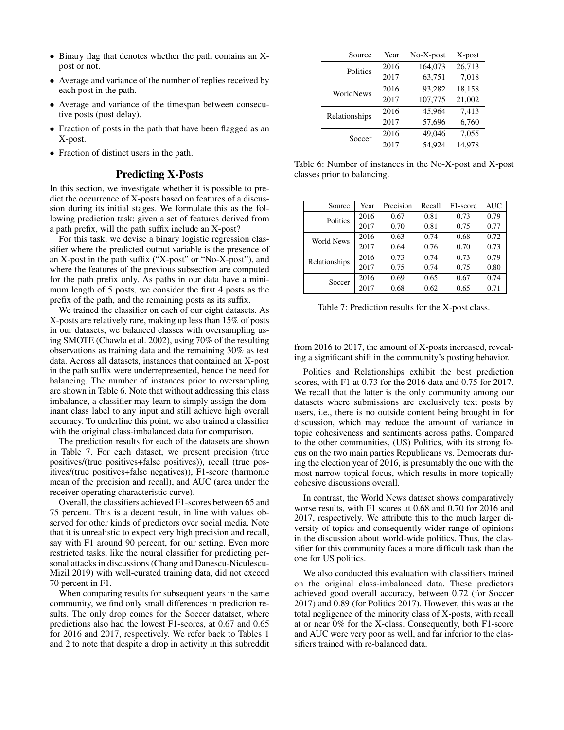- Binary flag that denotes whether the path contains an Xpost or not.
- Average and variance of the number of replies received by each post in the path.
- Average and variance of the timespan between consecutive posts (post delay).
- Fraction of posts in the path that have been flagged as an X-post.
- Fraction of distinct users in the path.

## Predicting X-Posts

In this section, we investigate whether it is possible to predict the occurrence of X-posts based on features of a discussion during its initial stages. We formulate this as the following prediction task: given a set of features derived from a path prefix, will the path suffix include an X-post?

For this task, we devise a binary logistic regression classifier where the predicted output variable is the presence of an X-post in the path suffix ("X-post" or "No-X-post"), and where the features of the previous subsection are computed for the path prefix only. As paths in our data have a minimum length of 5 posts, we consider the first 4 posts as the prefix of the path, and the remaining posts as its suffix.

We trained the classifier on each of our eight datasets. As X-posts are relatively rare, making up less than 15% of posts in our datasets, we balanced classes with oversampling using SMOTE (Chawla et al. 2002), using 70% of the resulting observations as training data and the remaining 30% as test data. Across all datasets, instances that contained an X-post in the path suffix were underrepresented, hence the need for balancing. The number of instances prior to oversampling are shown in Table 6. Note that without addressing this class imbalance, a classifier may learn to simply assign the dominant class label to any input and still achieve high overall accuracy. To underline this point, we also trained a classifier with the original class-imbalanced data for comparison.

The prediction results for each of the datasets are shown in Table 7. For each dataset, we present precision (true positives/(true positives+false positives)), recall (true positives/(true positives+false negatives)), F1-score (harmonic mean of the precision and recall), and AUC (area under the receiver operating characteristic curve).

Overall, the classifiers achieved F1-scores between 65 and 75 percent. This is a decent result, in line with values observed for other kinds of predictors over social media. Note that it is unrealistic to expect very high precision and recall, say with F1 around 90 percent, for our setting. Even more restricted tasks, like the neural classifier for predicting personal attacks in discussions (Chang and Danescu-Niculescu-Mizil 2019) with well-curated training data, did not exceed 70 percent in F1.

When comparing results for subsequent years in the same community, we find only small differences in prediction results. The only drop comes for the Soccer datatset, where predictions also had the lowest F1-scores, at 0.67 and 0.65 for 2016 and 2017, respectively. We refer back to Tables 1 and 2 to note that despite a drop in activity in this subreddit

| Source        | Year | No-X-post | $X$ -post |
|---------------|------|-----------|-----------|
| Politics      | 2016 | 164,073   | 26,713    |
|               | 2017 | 63,751    | 7,018     |
| WorldNews     | 2016 | 93.282    | 18,158    |
|               | 2017 | 107,775   | 21,002    |
| Relationships | 2016 | 45.964    | 7.413     |
|               | 2017 | 57,696    | 6,760     |
| Soccer        | 2016 | 49,046    | 7,055     |
|               | 2017 | 54,924    | 14,978    |

Table 6: Number of instances in the No-X-post and X-post classes prior to balancing.

| Source        | Year | Precision | Recall | F <sub>1</sub> -score | AUC  |
|---------------|------|-----------|--------|-----------------------|------|
| Politics      | 2016 | 0.67      | 0.81   | 0.73                  | 0.79 |
|               | 2017 | 0.70      | 0.81   | 0.75                  | 0.77 |
| World News    | 2016 | 0.63      | 0.74   | 0.68                  | 0.72 |
|               | 2017 | 0.64      | 0.76   | 0.70                  | 0.73 |
| Relationships | 2016 | 0.73      | 0.74   | 0.73                  | 0.79 |
|               | 2017 | 0.75      | 0.74   | 0.75                  | 0.80 |
| Soccer        | 2016 | 0.69      | 0.65   | 0.67                  | 0.74 |
|               | 2017 | 0.68      | 0.62   | 0.65                  | 0.71 |

Table 7: Prediction results for the X-post class.

from 2016 to 2017, the amount of X-posts increased, revealing a significant shift in the community's posting behavior.

Politics and Relationships exhibit the best prediction scores, with F1 at 0.73 for the 2016 data and 0.75 for 2017. We recall that the latter is the only community among our datasets where submissions are exclusively text posts by users, i.e., there is no outside content being brought in for discussion, which may reduce the amount of variance in topic cohesiveness and sentiments across paths. Compared to the other communities, (US) Politics, with its strong focus on the two main parties Republicans vs. Democrats during the election year of 2016, is presumably the one with the most narrow topical focus, which results in more topically cohesive discussions overall.

In contrast, the World News dataset shows comparatively worse results, with F1 scores at 0.68 and 0.70 for 2016 and 2017, respectively. We attribute this to the much larger diversity of topics and consequently wider range of opinions in the discussion about world-wide politics. Thus, the classifier for this community faces a more difficult task than the one for US politics.

We also conducted this evaluation with classifiers trained on the original class-imbalanced data. These predictors achieved good overall accuracy, between 0.72 (for Soccer 2017) and 0.89 (for Politics 2017). However, this was at the total negligence of the minority class of X-posts, with recall at or near 0% for the X-class. Consequently, both F1-score and AUC were very poor as well, and far inferior to the classifiers trained with re-balanced data.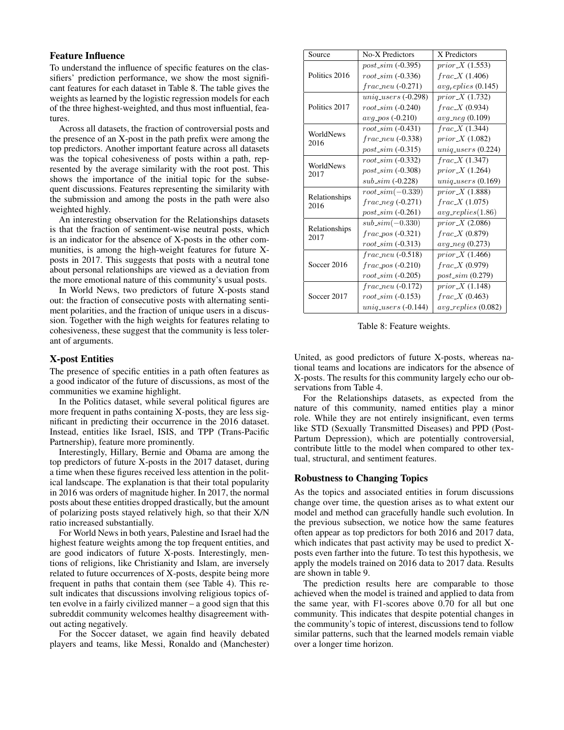# Feature Influence

To understand the influence of specific features on the classifiers' prediction performance, we show the most significant features for each dataset in Table 8. The table gives the weights as learned by the logistic regression models for each of the three highest-weighted, and thus most influential, features.

Across all datasets, the fraction of controversial posts and the presence of an X-post in the path prefix were among the top predictors. Another important feature across all datasets was the topical cohesiveness of posts within a path, represented by the average similarity with the root post. This shows the importance of the initial topic for the subsequent discussions. Features representing the similarity with the submission and among the posts in the path were also weighted highly.

An interesting observation for the Relationships datasets is that the fraction of sentiment-wise neutral posts, which is an indicator for the absence of X-posts in the other communities, is among the high-weight features for future Xposts in 2017. This suggests that posts with a neutral tone about personal relationships are viewed as a deviation from the more emotional nature of this community's usual posts.

In World News, two predictors of future X-posts stand out: the fraction of consecutive posts with alternating sentiment polarities, and the fraction of unique users in a discussion. Together with the high weights for features relating to cohesiveness, these suggest that the community is less tolerant of arguments.

# X-post Entities

The presence of specific entities in a path often features as a good indicator of the future of discussions, as most of the communities we examine highlight.

In the Politics dataset, while several political figures are more frequent in paths containing X-posts, they are less significant in predicting their occurrence in the 2016 dataset. Instead, entities like Israel, ISIS, and TPP (Trans-Pacific Partnership), feature more prominently.

Interestingly, Hillary, Bernie and Obama are among the top predictors of future X-posts in the 2017 dataset, during a time when these figures received less attention in the political landscape. The explanation is that their total popularity in 2016 was orders of magnitude higher. In 2017, the normal posts about these entities dropped drastically, but the amount of polarizing posts stayed relatively high, so that their X/N ratio increased substantially.

For World News in both years, Palestine and Israel had the highest feature weights among the top frequent entities, and are good indicators of future X-posts. Interestingly, mentions of religions, like Christianity and Islam, are inversely related to future occurrences of X-posts, despite being more frequent in paths that contain them (see Table 4). This result indicates that discussions involving religious topics often evolve in a fairly civilized manner – a good sign that this subreddit community welcomes healthy disagreement without acting negatively.

For the Soccer dataset, we again find heavily debated players and teams, like Messi, Ronaldo and (Manchester)

| Source                | No-X Predictors          | X Predictors                    |
|-----------------------|--------------------------|---------------------------------|
|                       | $post\_sim( -0.395)$     | $prior\_X$ (1.553)              |
| Politics 2016         | $root\_sim$ (-0.336)     | $frac\_X(1.406)$                |
|                       | $frac\_neu(-0.271)$      | $avq_{\textit{replies}}(0.145)$ |
|                       | $uniq\_users$ $(-0.298)$ | $prior\_X$ (1.732)              |
| Politics 2017         | $root\_sim( -0.240)$     | $frac\_X(0.934)$                |
|                       | $avg_{-pos}(-0.210)$     | $avg\_neg(0.109)$               |
| WorldNews             | $root\_sim(.0.431)$      | frac.X(1.344)                   |
| 2016                  | $frac_{new( -0.338)$     | prior $X(1.082)$                |
|                       | $post\_sim( -0.315)$     | $uniq\_users(0.224)$            |
| WorldNews             | $root\_sim$ (-0.332)     | $frac\_X(1.347)$                |
| 2017                  | $post\_sim( -0.308)$     | $prior\_X$ (1.264)              |
|                       | $sub\_sim( -0.228)$      | $uniq\_users(0.169)$            |
|                       | $root\_sim(-0.339)$      | $prior\_X$ (1.888)              |
| Relationships<br>2016 | $frac_{neq(.0.271)}$     | $frac\_X(1.075)$                |
|                       | $post\_sim( -0.261)$     | $avg\_replies(1.86)$            |
|                       | $sub\_sim(-0.330)$       | $prior\_X$ (2.086)              |
| Relationships<br>2017 | $frac\_pos(.0.321)$      | $frac\_X(0.879)$                |
|                       | $root\_sim(.0.313)$      | $avg\_neq(0.273)$               |
|                       | $frac_{new( -0.518)$     | prior $X(1.466)$                |
| Soccer 2016           | $frac\_pos(.0.210)$      | $frac\_X(0.979)$                |
|                       | $root\_sim( -0.205)$     | $post\_sim(0.279)$              |
|                       | $frac_{new(0.172)}$      | prior $X(1.148)$                |
| Soccer 2017           | $root\_sim( -0.153)$     | $frac\_X(0.463)$                |
|                       | $uniq\_users$ $(-0.144)$ | $avg\_replies(0.082)$           |

Table 8: Feature weights.

United, as good predictors of future X-posts, whereas national teams and locations are indicators for the absence of X-posts. The results for this community largely echo our observations from Table 4.

For the Relationships datasets, as expected from the nature of this community, named entities play a minor role. While they are not entirely insignificant, even terms like STD (Sexually Transmitted Diseases) and PPD (Post-Partum Depression), which are potentially controversial, contribute little to the model when compared to other textual, structural, and sentiment features.

# Robustness to Changing Topics

As the topics and associated entities in forum discussions change over time, the question arises as to what extent our model and method can gracefully handle such evolution. In the previous subsection, we notice how the same features often appear as top predictors for both 2016 and 2017 data, which indicates that past activity may be used to predict Xposts even farther into the future. To test this hypothesis, we apply the models trained on 2016 data to 2017 data. Results are shown in table 9.

The prediction results here are comparable to those achieved when the model is trained and applied to data from the same year, with F1-scores above 0.70 for all but one community. This indicates that despite potential changes in the community's topic of interest, discussions tend to follow similar patterns, such that the learned models remain viable over a longer time horizon.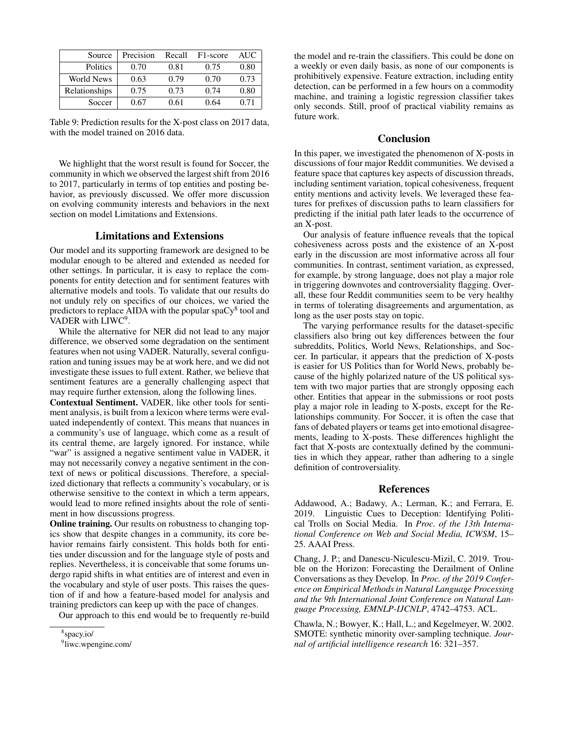| Source            | Precision | Recall | F1-score | <b>AUC</b> |
|-------------------|-----------|--------|----------|------------|
| Politics          | 0.70      | 0.81   | 0.75     | 0.80       |
| <b>World News</b> | 0.63      | 0.79   | 0.70     | 0.73       |
| Relationships     | 0.75      | 0.73   | 0.74     | 0.80       |
| Soccer            | 0.67      | 0.61   | 0.64     | 0.71       |

Table 9: Prediction results for the X-post class on 2017 data, with the model trained on 2016 data.

We highlight that the worst result is found for Soccer, the community in which we observed the largest shift from 2016 to 2017, particularly in terms of top entities and posting behavior, as previously discussed. We offer more discussion on evolving community interests and behaviors in the next section on model Limitations and Extensions.

### Limitations and Extensions

Our model and its supporting framework are designed to be modular enough to be altered and extended as needed for other settings. In particular, it is easy to replace the components for entity detection and for sentiment features with alternative models and tools. To validate that our results do not unduly rely on specifics of our choices, we varied the predictors to replace AIDA with the popular spa $Cy^8$  tool and VADER with LIWC<sup>9</sup>.

While the alternative for NER did not lead to any major difference, we observed some degradation on the sentiment features when not using VADER. Naturally, several configuration and tuning issues may be at work here, and we did not investigate these issues to full extent. Rather, we believe that sentiment features are a generally challenging aspect that may require further extension, along the following lines.

Contextual Sentiment. VADER, like other tools for sentiment analysis, is built from a lexicon where terms were evaluated independently of context. This means that nuances in a community's use of language, which come as a result of its central theme, are largely ignored. For instance, while "war" is assigned a negative sentiment value in VADER, it may not necessarily convey a negative sentiment in the context of news or political discussions. Therefore, a specialized dictionary that reflects a community's vocabulary, or is otherwise sensitive to the context in which a term appears, would lead to more refined insights about the role of sentiment in how discussions progress.

Online training. Our results on robustness to changing topics show that despite changes in a community, its core behavior remains fairly consistent. This holds both for entities under discussion and for the language style of posts and replies. Nevertheless, it is conceivable that some forums undergo rapid shifts in what entities are of interest and even in the vocabulary and style of user posts. This raises the question of if and how a feature-based model for analysis and training predictors can keep up with the pace of changes.

Our approach to this end would be to frequently re-build

the model and re-train the classifiers. This could be done on a weekly or even daily basis, as none of our components is prohibitively expensive. Feature extraction, including entity detection, can be performed in a few hours on a commodity machine, and training a logistic regression classifier takes only seconds. Still, proof of practical viability remains as future work.

## Conclusion

In this paper, we investigated the phenomenon of X-posts in discussions of four major Reddit communities. We devised a feature space that captures key aspects of discussion threads, including sentiment variation, topical cohesiveness, frequent entity mentions and activity levels. We leveraged these features for prefixes of discussion paths to learn classifiers for predicting if the initial path later leads to the occurrence of an X-post.

Our analysis of feature influence reveals that the topical cohesiveness across posts and the existence of an X-post early in the discussion are most informative across all four communities. In contrast, sentiment variation, as expressed, for example, by strong language, does not play a major role in triggering downvotes and controversiality flagging. Overall, these four Reddit communities seem to be very healthy in terms of tolerating disagreements and argumentation, as long as the user posts stay on topic.

The varying performance results for the dataset-specific classifiers also bring out key differences between the four subreddits, Politics, World News, Relationships, and Soccer. In particular, it appears that the prediction of X-posts is easier for US Politics than for World News, probably because of the highly polarized nature of the US political system with two major parties that are strongly opposing each other. Entities that appear in the submissions or root posts play a major role in leading to X-posts, except for the Relationships community. For Soccer, it is often the case that fans of debated players or teams get into emotional disagreements, leading to X-posts. These differences highlight the fact that X-posts are contextually defined by the communities in which they appear, rather than adhering to a single definition of controversiality.

## **References**

Addawood, A.; Badawy, A.; Lerman, K.; and Ferrara, E. 2019. Linguistic Cues to Deception: Identifying Political Trolls on Social Media. In *Proc. of the 13th International Conference on Web and Social Media, ICWSM*, 15– 25. AAAI Press.

Chang, J. P.; and Danescu-Niculescu-Mizil, C. 2019. Trouble on the Horizon: Forecasting the Derailment of Online Conversations as they Develop. In *Proc. of the 2019 Conference on Empirical Methods in Natural Language Processing and the 9th International Joint Conference on Natural Language Processing, EMNLP-IJCNLP*, 4742–4753. ACL.

Chawla, N.; Bowyer, K.; Hall, L.; and Kegelmeyer, W. 2002. SMOTE: synthetic minority over-sampling technique. *Journal of artificial intelligence research* 16: 321–357.

<sup>8</sup> spacy.io/

<sup>9</sup> liwc.wpengine.com/